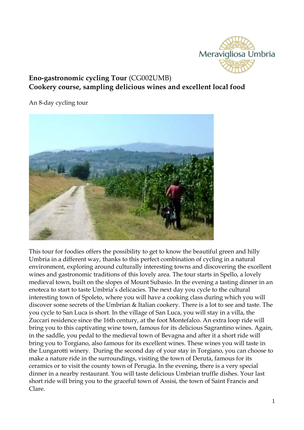

# **Eno-gastronomic cycling Tour** (CG002UMB) **Cookery course, sampling delicious wines and excellent local food**

An 8-day cycling tour



This tour for foodies offers the possibility to get to know the beautiful green and hilly Umbria in a different way, thanks to this perfect combination of cycling in a natural environment, exploring around culturally interesting towns and discovering the excellent wines and gastronomic traditions of this lovely area. The tour starts in Spello, a lovely medieval town, built on the slopes of Mount Subasio. In the evening a tasting dinner in an enoteca to start to taste Umbria's delicacies. The next day you cycle to the cultural interesting town of Spoleto, where you will have a cooking class during which you will discover some secrets of the Umbrian & Italian cookery. There is a lot to see and taste. The you cycle to San Luca is short. In the village of San Luca, you will stay in a villa, the Zuccari residence since the 16th century, at the foot Montefalco. An extra loop ride will bring you to this captivating wine town, famous for its delicious Sagrantino wines. Again, in the saddle, you pedal to the medieval town of Bevagna and after it a short ride will bring you to Torgiano, also famous for its excellent wines. These wines you will taste in the Lungarotti winery. During the second day of your stay in Torgiano, you can choose to make a nature ride in the surroundings, visiting the town of Deruta, famous for its ceramics or to visit the county town of Perugia. In the evening, there is a very special dinner in a nearby restaurant. You will taste delicious Umbrian truffle dishes. Your last short ride will bring you to the graceful town of Assisi, the town of Saint Francis and Clare.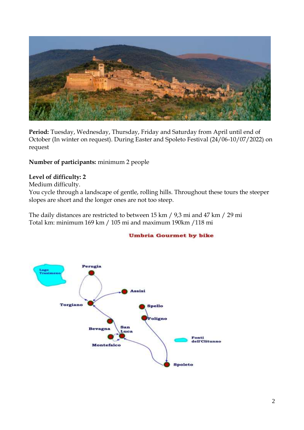

**Period:** Tuesday, Wednesday, Thursday, Friday and Saturday from April until end of October (In winter on request). During Easter and Spoleto Festival (24/06-10/07/2022) on request

# **Number of participants:** minimum 2 people

### **Level of difficulty: 2**

Medium difficulty.

You cycle through a landscape of gentle, rolling hills. Throughout these tours the steeper slopes are short and the longer ones are not too steep.

The daily distances are restricted to between 15 km / 9,3 mi and 47 km / 29 mi Total km: minimum 169 km / 105 mi and maximum 190km /118 mi



#### **Umbria Gourmet by bike**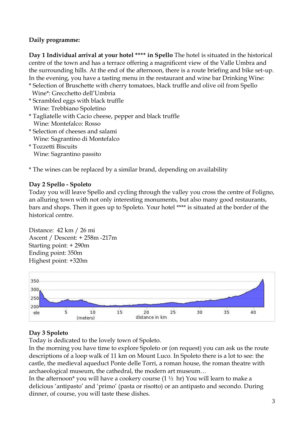# **Daily programme:**

**Day 1 Individual arrival at your hotel \*\*\*\* in Spello** The hotel is situated in the historical centre of the town and has a terrace offering a magnificent view of the Valle Umbra and the surrounding hills. At the end of the afternoon, there is a route briefing and bike set-up. In the evening, you have a tasting menu in the restaurant and wine bar Drinking Wine:

- \* Selection of Bruschette with cherry tomatoes, black truffle and olive oil from Spello Wine\*: Grecchetto dell'Umbria
- \* Scrambled eggs with black truffle Wine: Trebbiano Spoletino
- \* Tagliatelle with Cacio cheese, pepper and black truffle Wine: Montefalco: Rosso
- \* Selection of cheeses and salami Wine: Sagrantino di Montefalco
- \* Tozzetti Biscuits Wine: Sagrantino passito
- \* The wines can be replaced by a similar brand, depending on availability

# **Day 2 Spello - Spoleto**

Today you will leave Spello and cycling through the valley you cross the centre of Foligno, an alluring town with not only interesting monuments, but also many good restaurants, bars and shops. Then it goes up to Spoleto. Your hotel \*\*\*\* is situated at the border of the historical centre.

Distance: 42 km / 26 mi Ascent / Descent: + 258m -217m Starting point: + 290m Ending point: 350m Highest point: +320m



# **Day 3 Spoleto**

Today is dedicated to the lovely town of Spoleto.

In the morning you have time to explore Spoleto or (on request) you can ask us the route descriptions of a loop walk of 11 km on Mount Luco. In Spoleto there is a lot to see: the castle, the medieval aqueduct Ponte delle Torri, a roman house, the roman theatre with archaeological museum, the cathedral, the modern art museum…

In the afternoon\* you will have a cookery course  $(1 \frac{1}{2}$  hr) You will learn to make a delicious 'antipasto' and 'primo' (pasta or risotto) or an antipasto and secondo. During dinner, of course, you will taste these dishes.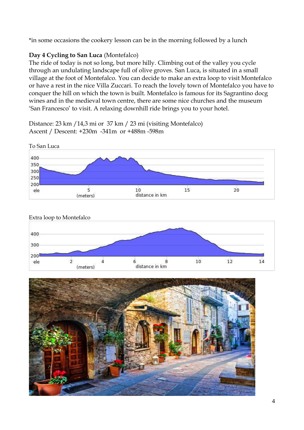\*in some occasions the cookery lesson can be in the morning followed by a lunch

# **Day 4 Cycling to San Luca** (Montefalco)

The ride of today is not so long, but more hilly. Climbing out of the valley you cycle through an undulating landscape full of olive groves. San Luca, is situated in a small village at the foot of Montefalco. You can decide to make an extra loop to visit Montefalco or have a rest in the nice Villa Zuccari. To reach the lovely town of Montefalco you have to conquer the hill on which the town is built. Montefalco is famous for its Sagrantino docg wines and in the medieval town centre, there are some nice churches and the museum 'San Francesco' to visit. A relaxing downhill ride brings you to your hotel.

Distance: 23 km /14,3 mi or 37 km / 23 mi (visiting Montefalco) Ascent / Descent: +230m -341m or +488m -598m





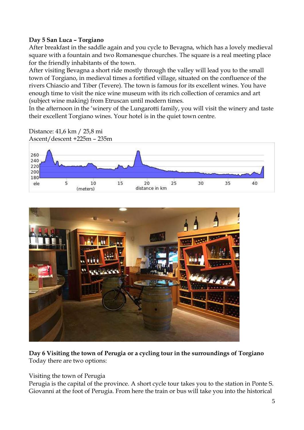# **Day 5 San Luca – Torgiano**

After breakfast in the saddle again and you cycle to Bevagna, which has a lovely medieval square with a fountain and two Romanesque churches. The square is a real meeting place for the friendly inhabitants of the town.

After visiting Bevagna a short ride mostly through the valley will lead you to the small town of Torgiano, in medieval times a fortified village, situated on the confluence of the rivers Chiascio and Tiber (Tevere). The town is famous for its excellent wines. You have enough time to visit the nice wine museum with its rich collection of ceramics and art (subject wine making) from Etruscan until modern times.

In the afternoon in the 'winery of the Lungarotti family, you will visit the winery and taste their excellent Torgiano wines. Your hotel is in the quiet town centre.



Distance: 41,6 km / 25,8 mi



**Day 6 Visiting the town of Perugia or a cycling tour in the surroundings of Torgiano**  Today there are two options:

# Visiting the town of Perugia

Perugia is the capital of the province. A short cycle tour takes you to the station in Ponte S. Giovanni at the foot of Perugia. From here the train or bus will take you into the historical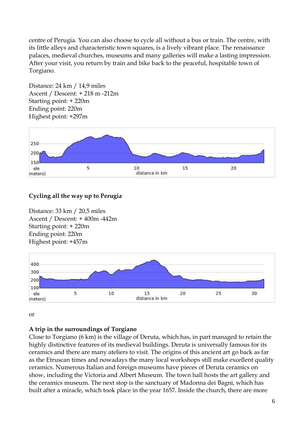centre of Perugia. You can also choose to cycle all without a bus or train. The centre, with its little alleys and characteristic town squares, is a lively vibrant place. The renaissance palaces, medieval churches, museums and many galleries will make a lasting impression. After your visit, you return by train and bike back to the peaceful, hospitable town of Torgiano.

Distance: 24 km / 14,9 miles Ascent / Descent: + 218 m -212m Starting point: + 220m Ending point: 220m Highest point: +297m



# **Cycling all the way up to Perugia**

Distance: 33 km / 20,5 miles Ascent / Descent: + 400m -442m Starting point: + 220m Ending point: 220m Highest point: +457m



or

# **A trip in the surroundings of Torgiano**

Close to Torgiano (6 km) is the village of Deruta, which has, in part managed to retain the highly distinctive features of its medieval buildings. Deruta is universally famous for its ceramics and there are many ateliers to visit. The origins of this ancient art go back as far as the Etruscan times and nowadays the many local workshops still make excellent quality ceramics. Numerous Italian and foreign museums have pieces of Deruta ceramics on show, including the Victoria and Albert Museum. The town hall hosts the art gallery and the ceramics museum. The next stop is the sanctuary of Madonna dei Bagni, which has built after a miracle, which took place in the year 1657. Inside the church, there are more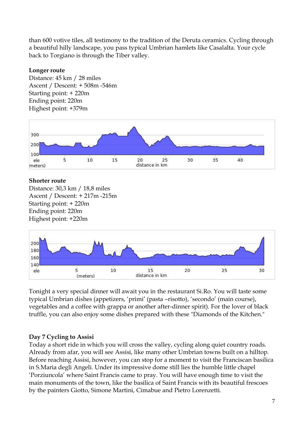than 600 votive tiles, all testimony to the tradition of the Deruta ceramics. Cycling through a beautiful hilly landscape, you pass typical Umbrian hamlets like Casalalta. Your cycle back to Torgiano is through the Tiber valley.

### **Longer route**

Distance: 45 km / 28 miles Ascent / Descent: + 508m -546m Starting point: + 220m Ending point: 220m Highest point: +379m



#### **Shorter route**

Distance: 30,3 km / 18,8 miles Ascent / Descent: + 217m -215m Starting point: + 220m Ending point: 220m Highest point: +220m



Tonight a very special dinner will await you in the restaurant Si.Ro. You will taste some typical Umbrian dishes (appetizers, 'primi' (pasta –risotto), 'secondo' (main course), vegetables and a coffee with grappa or another after-dinner spirit). For the lover of black truffle, you can also enjoy some dishes prepared with these "Diamonds of the Kitchen."

# **Day 7 Cycling to Assisi**

Today a short ride in which you will cross the valley, cycling along quiet country roads. Already from afar, you will see Assisi, like many other Umbrian towns built on a hilltop. Before reaching Assisi, however, you can stop for a moment to visit the Franciscan basilica in S.Maria degli Angeli. Under its impressive dome still lies the humble little chapel 'Porziuncola' where Saint Francis came to pray. You will have enough time to visit the main monuments of the town, like the basilica of Saint Francis with its beautiful frescoes by the painters Giotto, Simone Martini, Cimabue and Pietro Lorenzetti.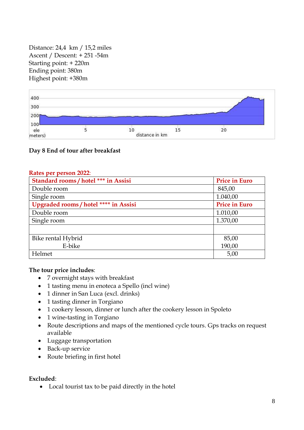Distance: 24,4 km / 15,2 miles Ascent / Descent: + 251 -54m Starting point: + 220m Ending point: 380m Highest point: +380m



# **Day 8 End of tour after breakfast**

| Rates per person 2022:                |                      |
|---------------------------------------|----------------------|
| Standard rooms / hotel *** in Assisi  | <b>Price in Euro</b> |
| Double room                           | 845,00               |
| Single room                           | 1.040,00             |
| Upgraded rooms / hotel **** in Assisi | <b>Price in Euro</b> |
| Double room                           | 1.010,00             |
| Single room                           | 1.370,00             |
|                                       |                      |
| Bike rental Hybrid                    | 85,00                |
| E-bike                                | 190,00               |
| Helmet                                | 5,00                 |

#### **The tour price includes**:

- 7 overnight stays with breakfast
- 1 tasting menu in enoteca a Spello (incl wine)
- 1 dinner in San Luca (excl. drinks)
- 1 tasting dinner in Torgiano
- 1 cookery lesson, dinner or lunch after the cookery lesson in Spoleto
- 1 wine-tasting in Torgiano
- Route descriptions and maps of the mentioned cycle tours. Gps tracks on request available
- Luggage transportation
- Back-up service
- Route briefing in first hotel

#### **Excluded**:

Local tourist tax to be paid directly in the hotel